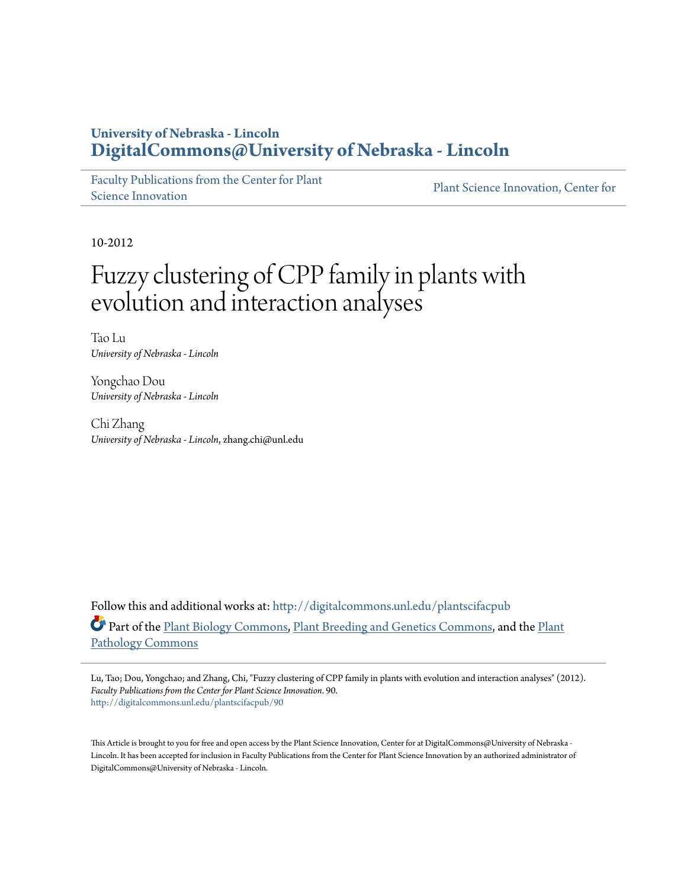### **University of Nebraska - Lincoln [DigitalCommons@University of Nebraska - Lincoln](http://digitalcommons.unl.edu?utm_source=digitalcommons.unl.edu%2Fplantscifacpub%2F90&utm_medium=PDF&utm_campaign=PDFCoverPages)**

[Faculty Publications from the Center for Plant](http://digitalcommons.unl.edu/plantscifacpub?utm_source=digitalcommons.unl.edu%2Fplantscifacpub%2F90&utm_medium=PDF&utm_campaign=PDFCoverPages) [Science Innovation](http://digitalcommons.unl.edu/plantscifacpub?utm_source=digitalcommons.unl.edu%2Fplantscifacpub%2F90&utm_medium=PDF&utm_campaign=PDFCoverPages)

[Plant Science Innovation, Center for](http://digitalcommons.unl.edu/plantsciinnovctr?utm_source=digitalcommons.unl.edu%2Fplantscifacpub%2F90&utm_medium=PDF&utm_campaign=PDFCoverPages)

10-2012

# Fuzzy clustering of CPP family in plants with evolution and interaction analyses

Tao Lu *University of Nebraska - Lincoln*

Yongchao Dou *University of Nebraska - Lincoln*

Chi Zhang *University of Nebraska - Lincoln*, zhang.chi@unl.edu

Follow this and additional works at: [http://digitalcommons.unl.edu/plantscifacpub](http://digitalcommons.unl.edu/plantscifacpub?utm_source=digitalcommons.unl.edu%2Fplantscifacpub%2F90&utm_medium=PDF&utm_campaign=PDFCoverPages) Part of the [Plant Biology Commons,](http://network.bepress.com/hgg/discipline/106?utm_source=digitalcommons.unl.edu%2Fplantscifacpub%2F90&utm_medium=PDF&utm_campaign=PDFCoverPages) [Plant Breeding and Genetics Commons,](http://network.bepress.com/hgg/discipline/108?utm_source=digitalcommons.unl.edu%2Fplantscifacpub%2F90&utm_medium=PDF&utm_campaign=PDFCoverPages) and the [Plant](http://network.bepress.com/hgg/discipline/107?utm_source=digitalcommons.unl.edu%2Fplantscifacpub%2F90&utm_medium=PDF&utm_campaign=PDFCoverPages) [Pathology Commons](http://network.bepress.com/hgg/discipline/107?utm_source=digitalcommons.unl.edu%2Fplantscifacpub%2F90&utm_medium=PDF&utm_campaign=PDFCoverPages)

Lu, Tao; Dou, Yongchao; and Zhang, Chi, "Fuzzy clustering of CPP family in plants with evolution and interaction analyses" (2012). *Faculty Publications from the Center for Plant Science Innovation*. 90. [http://digitalcommons.unl.edu/plantscifacpub/90](http://digitalcommons.unl.edu/plantscifacpub/90?utm_source=digitalcommons.unl.edu%2Fplantscifacpub%2F90&utm_medium=PDF&utm_campaign=PDFCoverPages)

This Article is brought to you for free and open access by the Plant Science Innovation, Center for at DigitalCommons@University of Nebraska -Lincoln. It has been accepted for inclusion in Faculty Publications from the Center for Plant Science Innovation by an authorized administrator of DigitalCommons@University of Nebraska - Lincoln.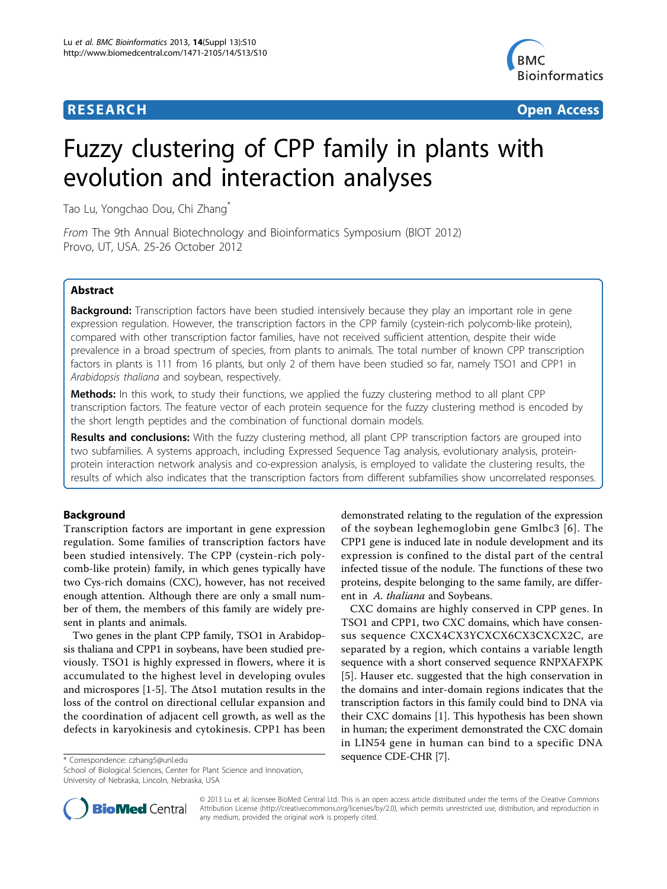

**RESEARCH CONTROL** CONTROL CONTROL CONTROL CONTROL CONTROL CONTROL CONTROL CONTROL CONTROL CONTROL CONTROL CONTROL CONTROL CONTROL CONTROL CONTROL CONTROL CONTROL CONTROL CONTROL CONTROL CONTROL CONTROL CONTROL CONTROL CON

# Fuzzy clustering of CPP family in plants with evolution and interaction analyses

Tao Lu, Yongchao Dou, Chi Zhang\*

From The 9th Annual Biotechnology and Bioinformatics Symposium (BIOT 2012) Provo, UT, USA. 25-26 October 2012

#### Abstract

**Background:** Transcription factors have been studied intensively because they play an important role in gene expression regulation. However, the transcription factors in the CPP family (cystein-rich polycomb-like protein), compared with other transcription factor families, have not received sufficient attention, despite their wide prevalence in a broad spectrum of species, from plants to animals. The total number of known CPP transcription factors in plants is 111 from 16 plants, but only 2 of them have been studied so far, namely TSO1 and CPP1 in Arabidopsis thaliana and soybean, respectively.

**Methods:** In this work, to study their functions, we applied the fuzzy clustering method to all plant CPP transcription factors. The feature vector of each protein sequence for the fuzzy clustering method is encoded by the short length peptides and the combination of functional domain models.

**Results and conclusions:** With the fuzzy clustering method, all plant CPP transcription factors are grouped into two subfamilies. A systems approach, including Expressed Sequence Tag analysis, evolutionary analysis, proteinprotein interaction network analysis and co-expression analysis, is employed to validate the clustering results, the results of which also indicates that the transcription factors from different subfamilies show uncorrelated responses.

#### Background

Transcription factors are important in gene expression regulation. Some families of transcription factors have been studied intensively. The CPP (cystein-rich polycomb-like protein) family, in which genes typically have two Cys-rich domains (CXC), however, has not received enough attention. Although there are only a small number of them, the members of this family are widely present in plants and animals.

Two genes in the plant CPP family, TSO1 in Arabidopsis thaliana and CPP1 in soybeans, have been studied previously. TSO1 is highly expressed in flowers, where it is accumulated to the highest level in developing ovules and microspores [\[1](#page-8-0)-[5\]](#page-8-0). The  $\Delta$ tso1 mutation results in the loss of the control on directional cellular expansion and the coordination of adjacent cell growth, as well as the defects in karyokinesis and cytokinesis. CPP1 has been demonstrated relating to the regulation of the expression of the soybean leghemoglobin gene Gmlbc3 [[6](#page-8-0)]. The CPP1 gene is induced late in nodule development and its expression is confined to the distal part of the central infected tissue of the nodule. The functions of these two proteins, despite belonging to the same family, are different in A. thaliana and Soybeans.

CXC domains are highly conserved in CPP genes. In TSO1 and CPP1, two CXC domains, which have consensus sequence CXCX4CX3YCXCX6CX3CXCX2C, are separated by a region, which contains a variable length sequence with a short conserved sequence RNPXAFXPK [[5](#page-8-0)]. Hauser etc. suggested that the high conservation in the domains and inter-domain regions indicates that the transcription factors in this family could bind to DNA via their CXC domains [\[1](#page-8-0)]. This hypothesis has been shown in human; the experiment demonstrated the CXC domain in LIN54 gene in human can bind to a specific DNA sequence CDE-CHR [[7\]](#page-8-0). \* Correspondence: [czhang5@unl.edu](mailto:czhang5@unl.edu)

School of Biological Sciences, Center for Plant Science and Innovation, University of Nebraska, Lincoln, Nebraska, USA



© 2013 Lu et al; licensee BioMed Central Ltd. This is an open access article distributed under the terms of the Creative Commons Attribution License [\(http://creativecommons.org/licenses/by/2.0](http://creativecommons.org/licenses/by/2.0)), which permits unrestricted use, distribution, and reproduction in any medium, provided the original work is properly cited.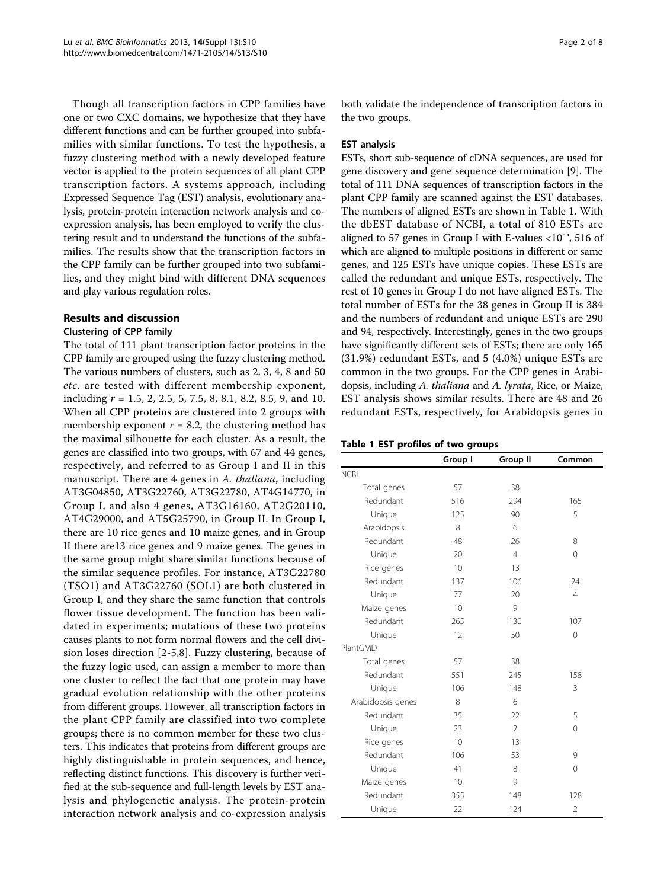Though all transcription factors in CPP families have one or two CXC domains, we hypothesize that they have different functions and can be further grouped into subfamilies with similar functions. To test the hypothesis, a fuzzy clustering method with a newly developed feature vector is applied to the protein sequences of all plant CPP transcription factors. A systems approach, including Expressed Sequence Tag (EST) analysis, evolutionary analysis, protein-protein interaction network analysis and coexpression analysis, has been employed to verify the clustering result and to understand the functions of the subfamilies. The results show that the transcription factors in the CPP family can be further grouped into two subfamilies, and they might bind with different DNA sequences and play various regulation roles.

#### Results and discussion

#### Clustering of CPP family

The total of 111 plant transcription factor proteins in the CPP family are grouped using the fuzzy clustering method. The various numbers of clusters, such as 2, 3, 4, 8 and 50 etc. are tested with different membership exponent, including  $r = 1.5, 2, 2.5, 5, 7.5, 8, 8.1, 8.2, 8.5, 9,$  and 10. When all CPP proteins are clustered into 2 groups with membership exponent  $r = 8.2$ , the clustering method has the maximal silhouette for each cluster. As a result, the genes are classified into two groups, with 67 and 44 genes, respectively, and referred to as Group I and II in this manuscript. There are 4 genes in A. thaliana, including AT3G04850, AT3G22760, AT3G22780, AT4G14770, in Group I, and also 4 genes, AT3G16160, AT2G20110, AT4G29000, and AT5G25790, in Group II. In Group I, there are 10 rice genes and 10 maize genes, and in Group II there are13 rice genes and 9 maize genes. The genes in the same group might share similar functions because of the similar sequence profiles. For instance, AT3G22780 (TSO1) and AT3G22760 (SOL1) are both clustered in Group I, and they share the same function that controls flower tissue development. The function has been validated in experiments; mutations of these two proteins causes plants to not form normal flowers and the cell division loses direction [[2](#page-8-0)-[5,8](#page-8-0)]. Fuzzy clustering, because of the fuzzy logic used, can assign a member to more than one cluster to reflect the fact that one protein may have gradual evolution relationship with the other proteins from different groups. However, all transcription factors in the plant CPP family are classified into two complete groups; there is no common member for these two clusters. This indicates that proteins from different groups are highly distinguishable in protein sequences, and hence, reflecting distinct functions. This discovery is further verified at the sub-sequence and full-length levels by EST analysis and phylogenetic analysis. The protein-protein interaction network analysis and co-expression analysis both validate the independence of transcription factors in the two groups.

#### EST analysis

ESTs, short sub-sequence of cDNA sequences, are used for gene discovery and gene sequence determination [\[9](#page-8-0)]. The total of 111 DNA sequences of transcription factors in the plant CPP family are scanned against the EST databases. The numbers of aligned ESTs are shown in Table 1. With the dbEST database of NCBI, a total of 810 ESTs are aligned to 57 genes in Group I with E-values  $< 10^{-5}$ , 516 of which are aligned to multiple positions in different or same genes, and 125 ESTs have unique copies. These ESTs are called the redundant and unique ESTs, respectively. The rest of 10 genes in Group I do not have aligned ESTs. The total number of ESTs for the 38 genes in Group II is 384 and the numbers of redundant and unique ESTs are 290 and 94, respectively. Interestingly, genes in the two groups have significantly different sets of ESTs; there are only 165 (31.9%) redundant ESTs, and 5 (4.0%) unique ESTs are common in the two groups. For the CPP genes in Arabidopsis, including A. thaliana and A. lyrata, Rice, or Maize, EST analysis shows similar results. There are 48 and 26 redundant ESTs, respectively, for Arabidopsis genes in

|  |  | Table 1 EST profiles of two groups |  |  |  |
|--|--|------------------------------------|--|--|--|
|--|--|------------------------------------|--|--|--|

|                   | Group I | Group II       | Common         |
|-------------------|---------|----------------|----------------|
| <b>NCBI</b>       |         |                |                |
| Total genes       | 57      | 38             |                |
| Redundant         | 516     | 294            | 165            |
| Unique            | 125     | 90             | 5              |
| Arabidopsis       | 8       | 6              |                |
| Redundant         | 48      | 26             | 8              |
| Unique            | 20      | $\overline{4}$ | $\Omega$       |
| Rice genes        | 10      | 13             |                |
| Redundant         | 137     | 106            | 24             |
| Unique            | 77      | 20             | $\overline{4}$ |
| Maize genes       | 10      | 9              |                |
| Redundant         | 265     | 130            | 107            |
| Unique            | 12      | 50             | $\mathbf 0$    |
| PlantGMD          |         |                |                |
| Total genes       | 57      | 38             |                |
| Redundant         | 551     | 245            | 158            |
| Unique            | 106     | 148            | 3              |
| Arabidopsis genes | 8       | 6              |                |
| Redundant         | 35      | 22             | 5              |
| Unique            | 23      | $\mathfrak{D}$ | $\Omega$       |
| Rice genes        | 10      | 13             |                |
| Redundant         | 106     | 53             | 9              |
| Unique            | 41      | 8              | 0              |
| Maize genes       | 10      | 9              |                |
| Redundant         | 355     | 148            | 128            |
| Unique            | 22      | 124            | $\overline{2}$ |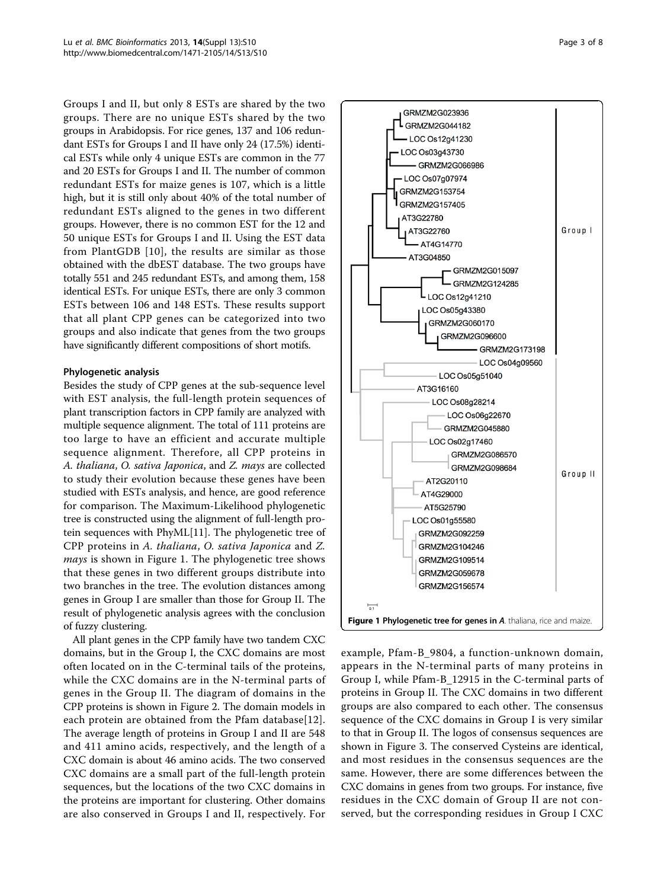Groups I and II, but only 8 ESTs are shared by the two groups. There are no unique ESTs shared by the two groups in Arabidopsis. For rice genes, 137 and 106 redundant ESTs for Groups I and II have only 24 (17.5%) identical ESTs while only 4 unique ESTs are common in the 77 and 20 ESTs for Groups I and II. The number of common redundant ESTs for maize genes is 107, which is a little high, but it is still only about 40% of the total number of redundant ESTs aligned to the genes in two different groups. However, there is no common EST for the 12 and 50 unique ESTs for Groups I and II. Using the EST data from PlantGDB [[10](#page-8-0)], the results are similar as those obtained with the dbEST database. The two groups have totally 551 and 245 redundant ESTs, and among them, 158 identical ESTs. For unique ESTs, there are only 3 common ESTs between 106 and 148 ESTs. These results support that all plant CPP genes can be categorized into two groups and also indicate that genes from the two groups have significantly different compositions of short motifs.

#### Phylogenetic analysis

Besides the study of CPP genes at the sub-sequence level with EST analysis, the full-length protein sequences of plant transcription factors in CPP family are analyzed with multiple sequence alignment. The total of 111 proteins are too large to have an efficient and accurate multiple sequence alignment. Therefore, all CPP proteins in A. thaliana, O. sativa Japonica, and Z. mays are collected to study their evolution because these genes have been studied with ESTs analysis, and hence, are good reference for comparison. The Maximum-Likelihood phylogenetic tree is constructed using the alignment of full-length protein sequences with PhyML[[11](#page-8-0)]. The phylogenetic tree of CPP proteins in A. thaliana, O. sativa Japonica and Z. mays is shown in Figure 1. The phylogenetic tree shows that these genes in two different groups distribute into two branches in the tree. The evolution distances among genes in Group I are smaller than those for Group II. The result of phylogenetic analysis agrees with the conclusion of fuzzy clustering.

All plant genes in the CPP family have two tandem CXC domains, but in the Group I, the CXC domains are most often located on in the C-terminal tails of the proteins, while the CXC domains are in the N-terminal parts of genes in the Group II. The diagram of domains in the CPP proteins is shown in Figure [2](#page-4-0). The domain models in each protein are obtained from the Pfam database[[12\]](#page-8-0). The average length of proteins in Group I and II are 548 and 411 amino acids, respectively, and the length of a CXC domain is about 46 amino acids. The two conserved CXC domains are a small part of the full-length protein sequences, but the locations of the two CXC domains in the proteins are important for clustering. Other domains are also conserved in Groups I and II, respectively. For



example, Pfam-B\_9804, a function-unknown domain, appears in the N-terminal parts of many proteins in Group I, while Pfam-B\_12915 in the C-terminal parts of proteins in Group II. The CXC domains in two different groups are also compared to each other. The consensus sequence of the CXC domains in Group I is very similar to that in Group II. The logos of consensus sequences are shown in Figure [3](#page-5-0). The conserved Cysteins are identical, and most residues in the consensus sequences are the same. However, there are some differences between the CXC domains in genes from two groups. For instance, five residues in the CXC domain of Group II are not conserved, but the corresponding residues in Group I CXC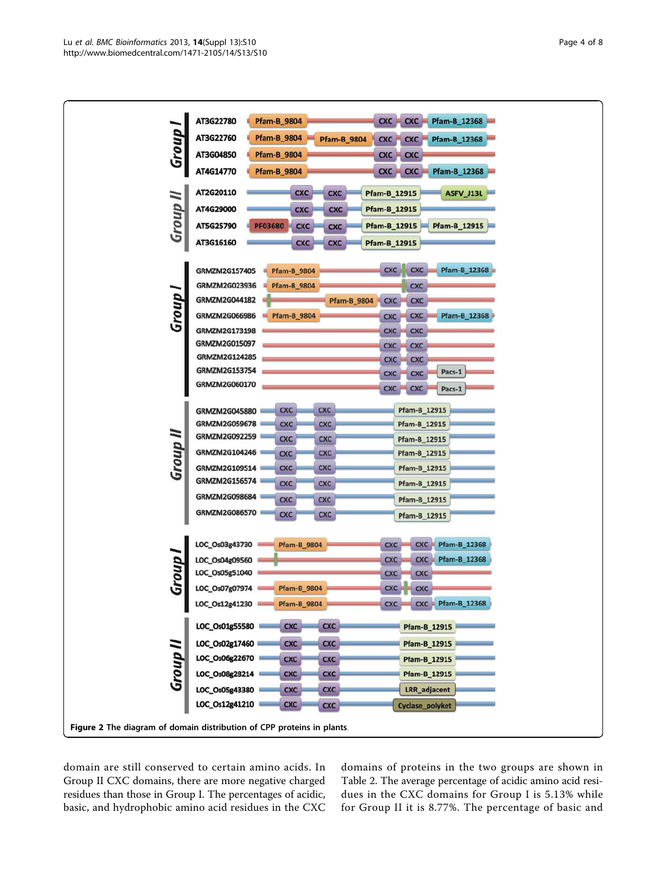<span id="page-4-0"></span>

domain are still conserved to certain amino acids. In Group II CXC domains, there are more negative charged residues than those in Group I. The percentages of acidic, basic, and hydrophobic amino acid residues in the CXC domains of proteins in the two groups are shown in Table [2.](#page-6-0) The average percentage of acidic amino acid residues in the CXC domains for Group I is 5.13% while for Group II it is 8.77%. The percentage of basic and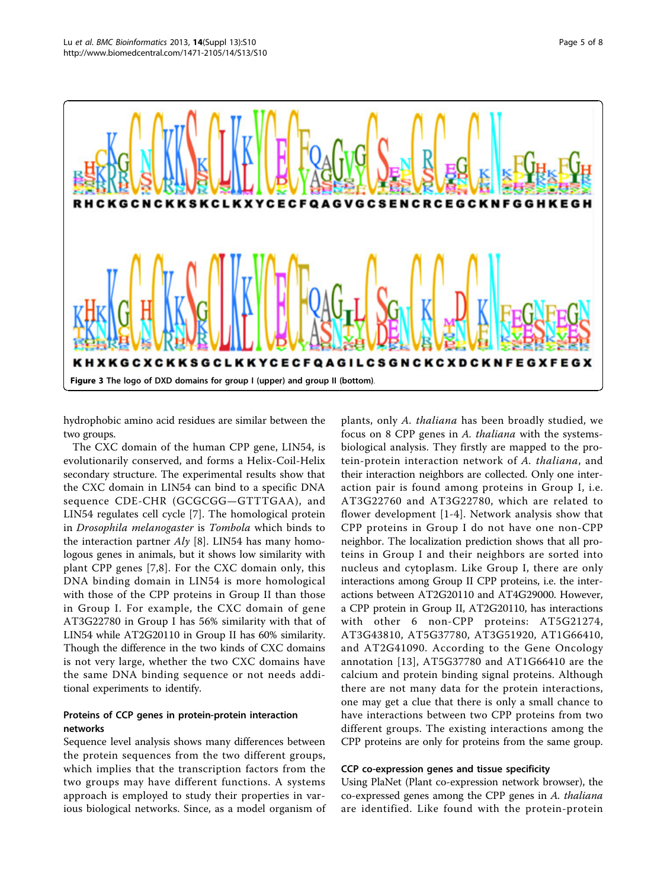<span id="page-5-0"></span>

hydrophobic amino acid residues are similar between the two groups.

The CXC domain of the human CPP gene, LIN54, is evolutionarily conserved, and forms a Helix-Coil-Helix secondary structure. The experimental results show that the CXC domain in LIN54 can bind to a specific DNA sequence CDE-CHR (GCGCGG—GTTTGAA), and LIN54 regulates cell cycle [\[7](#page-8-0)]. The homological protein in Drosophila melanogaster is Tombola which binds to the interaction partner  $Aly$  [\[8](#page-8-0)]. LIN54 has many homologous genes in animals, but it shows low similarity with plant CPP genes [\[7](#page-8-0),[8\]](#page-8-0). For the CXC domain only, this DNA binding domain in LIN54 is more homological with those of the CPP proteins in Group II than those in Group I. For example, the CXC domain of gene AT3G22780 in Group I has 56% similarity with that of LIN54 while AT2G20110 in Group II has 60% similarity. Though the difference in the two kinds of CXC domains is not very large, whether the two CXC domains have the same DNA binding sequence or not needs additional experiments to identify.

### Proteins of CCP genes in protein-protein interaction networks

Sequence level analysis shows many differences between the protein sequences from the two different groups, which implies that the transcription factors from the two groups may have different functions. A systems approach is employed to study their properties in various biological networks. Since, as a model organism of

plants, only A. thaliana has been broadly studied, we focus on 8 CPP genes in A. thaliana with the systemsbiological analysis. They firstly are mapped to the protein-protein interaction network of A. thaliana, and their interaction neighbors are collected. Only one interaction pair is found among proteins in Group I, i.e. AT3G22760 and AT3G22780, which are related to flower development [[1-4\]](#page-8-0). Network analysis show that CPP proteins in Group I do not have one non-CPP neighbor. The localization prediction shows that all proteins in Group I and their neighbors are sorted into nucleus and cytoplasm. Like Group I, there are only interactions among Group II CPP proteins, i.e. the interactions between AT2G20110 and AT4G29000. However, a CPP protein in Group II, AT2G20110, has interactions with other 6 non-CPP proteins: AT5G21274, AT3G43810, AT5G37780, AT3G51920, AT1G66410, and AT2G41090. According to the Gene Oncology annotation [[13](#page-8-0)], AT5G37780 and AT1G66410 are the calcium and protein binding signal proteins. Although there are not many data for the protein interactions, one may get a clue that there is only a small chance to have interactions between two CPP proteins from two different groups. The existing interactions among the CPP proteins are only for proteins from the same group.

#### CCP co-expression genes and tissue specificity

Using PlaNet (Plant co-expression network browser), the co-expressed genes among the CPP genes in A. thaliana are identified. Like found with the protein-protein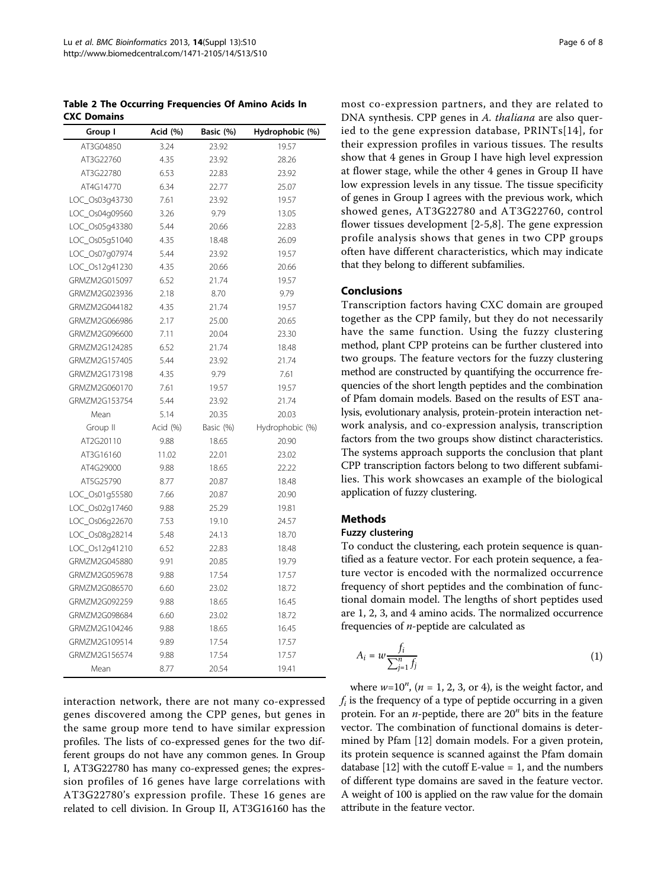<span id="page-6-0"></span>Table 2 The Occurring Frequencies Of Amino Acids In CXC Domains

| Group I        | Acid (%) | Basic (%) | Hydrophobic (%) |
|----------------|----------|-----------|-----------------|
| AT3G04850      | 3.24     | 23.92     | 19.57           |
| AT3G22760      | 4.35     | 23.92     | 28.26           |
| AT3G22780      | 6.53     | 22.83     | 23.92           |
| AT4G14770      | 6.34     | 22.77     | 25.07           |
| LOC_Os03g43730 | 7.61     | 23.92     | 19.57           |
| LOC_Os04g09560 | 3.26     | 9.79      | 13.05           |
| LOC_Os05q43380 | 5.44     | 20.66     | 22.83           |
| LOC_Os05q51040 | 4.35     | 18.48     | 26.09           |
| LOC_Os07q07974 | 5.44     | 23.92     | 19.57           |
| LOC_Os12g41230 | 4.35     | 20.66     | 20.66           |
| GRMZM2G015097  | 6.52     | 21.74     | 19.57           |
| GRMZM2G023936  | 2.18     | 8.70      | 9.79            |
| GRMZM2G044182  | 4.35     | 21.74     | 19.57           |
| GRMZM2G066986  | 2.17     | 25.00     | 20.65           |
| GRMZM2G096600  | 7.11     | 20.04     | 23.30           |
| GRMZM2G124285  | 6.52     | 21.74     | 18.48           |
| GRMZM2G157405  | 5.44     | 23.92     | 21.74           |
| GRMZM2G173198  | 4.35     | 9.79      | 7.61            |
| GRMZM2G060170  | 7.61     | 19.57     | 19.57           |
| GRMZM2G153754  | 5.44     | 23.92     | 21.74           |
| Mean           | 5.14     | 20.35     | 20.03           |
| Group II       | Acid (%) | Basic (%) | Hydrophobic (%) |
| AT2G20110      | 9.88     | 18.65     | 20.90           |
| AT3G16160      | 11.02    | 22.01     | 23.02           |
| AT4G29000      | 9.88     | 18.65     | 22.22           |
| AT5G25790      | 8.77     | 20.87     | 18.48           |
| LOC_Os01g55580 | 7.66     | 20.87     | 20.90           |
| LOC_Os02q17460 | 9.88     | 25.29     | 19.81           |
| LOC_Os06g22670 | 7.53     | 19.10     | 24.57           |
| LOC_Os08q28214 | 5.48     | 24.13     | 18.70           |
| LOC_Os12q41210 | 6.52     | 22.83     | 18.48           |
| GRMZM2G045880  | 9.91     | 20.85     | 19.79           |
| GRMZM2G059678  | 9.88     | 17.54     | 17.57           |
| GRMZM2G086570  | 6.60     | 23.02     | 18.72           |
| GRMZM2G092259  | 9.88     | 18.65     | 16.45           |
| GRMZM2G098684  | 6.60     | 23.02     | 18.72           |
| GRMZM2G104246  | 9.88     | 18.65     | 16.45           |
| GRMZM2G109514  | 9.89     | 17.54     | 17.57           |
| GRMZM2G156574  | 9.88     | 17.54     | 17.57           |
| Mean           | 8.77     | 20.54     | 19.41           |

interaction network, there are not many co-expressed genes discovered among the CPP genes, but genes in the same group more tend to have similar expression profiles. The lists of co-expressed genes for the two different groups do not have any common genes. In Group I, AT3G22780 has many co-expressed genes; the expression profiles of 16 genes have large correlations with AT3G22780's expression profile. These 16 genes are related to cell division. In Group II, AT3G16160 has the most co-expression partners, and they are related to DNA synthesis. CPP genes in A. thaliana are also queried to the gene expression database, PRINTs[\[14](#page-8-0)], for their expression profiles in various tissues. The results show that 4 genes in Group I have high level expression at flower stage, while the other 4 genes in Group II have low expression levels in any tissue. The tissue specificity of genes in Group I agrees with the previous work, which showed genes, AT3G22780 and AT3G22760, control flower tissues development [[2-5](#page-8-0),[8\]](#page-8-0). The gene expression profile analysis shows that genes in two CPP groups often have different characteristics, which may indicate that they belong to different subfamilies.

#### Conclusions

Transcription factors having CXC domain are grouped together as the CPP family, but they do not necessarily have the same function. Using the fuzzy clustering method, plant CPP proteins can be further clustered into two groups. The feature vectors for the fuzzy clustering method are constructed by quantifying the occurrence frequencies of the short length peptides and the combination of Pfam domain models. Based on the results of EST analysis, evolutionary analysis, protein-protein interaction network analysis, and co-expression analysis, transcription factors from the two groups show distinct characteristics. The systems approach supports the conclusion that plant CPP transcription factors belong to two different subfamilies. This work showcases an example of the biological application of fuzzy clustering.

#### Methods

#### Fuzzy clustering

To conduct the clustering, each protein sequence is quantified as a feature vector. For each protein sequence, a feature vector is encoded with the normalized occurrence frequency of short peptides and the combination of functional domain model. The lengths of short peptides used are 1, 2, 3, and 4 amino acids. The normalized occurrence frequencies of n-peptide are calculated as

$$
A_i = w \frac{f_i}{\sum_{j=1}^n f_j} \tag{1}
$$

where  $w=10^n$ ,  $(n = 1, 2, 3, \text{ or } 4)$ , is the weight factor, and  $f_i$  is the frequency of a type of peptide occurring in a given protein. For an  $n$ -peptide, there are  $20<sup>n</sup>$  bits in the feature vector. The combination of functional domains is determined by Pfam [\[12](#page-8-0)] domain models. For a given protein, its protein sequence is scanned against the Pfam domain database [\[12](#page-8-0)] with the cutoff E-value  $= 1$ , and the numbers of different type domains are saved in the feature vector. A weight of 100 is applied on the raw value for the domain attribute in the feature vector.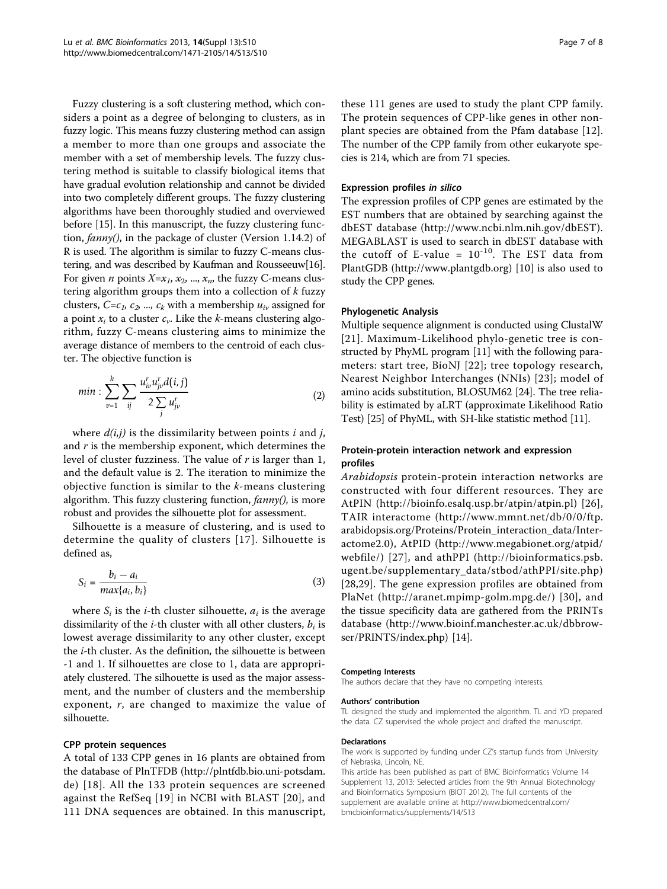Fuzzy clustering is a soft clustering method, which considers a point as a degree of belonging to clusters, as in fuzzy logic. This means fuzzy clustering method can assign a member to more than one groups and associate the member with a set of membership levels. The fuzzy clustering method is suitable to classify biological items that have gradual evolution relationship and cannot be divided into two completely different groups. The fuzzy clustering algorithms have been thoroughly studied and overviewed before [\[15](#page-8-0)]. In this manuscript, the fuzzy clustering function, fanny(), in the package of cluster (Version 1.14.2) of R is used. The algorithm is similar to fuzzy C-means clustering, and was described by Kaufman and Rousseeuw[[16](#page-8-0)]. For given *n* points  $X=x_1, x_2, ..., x_n$ , the fuzzy C-means clustering algorithm groups them into a collection of  $k$  fuzzy clusters,  $C=c_1, c_2, ..., c_k$  with a membership  $u_{iv}$  assigned for a point  $x_i$  to a cluster  $c_{\nu}$ . Like the k-means clustering algorithm, fuzzy C-means clustering aims to minimize the average distance of members to the centroid of each cluster. The objective function is

$$
min: \sum_{\nu=1}^{k} \sum_{ij} \frac{u_{i\nu}^r u_{j\nu}^r d(i,j)}{2 \sum_j u_{j\nu}^r}
$$
 (2)

where  $d(i,j)$  is the dissimilarity between points i and j, and  $r$  is the membership exponent, which determines the level of cluster fuzziness. The value of  $r$  is larger than 1, and the default value is 2. The iteration to minimize the objective function is similar to the  $k$ -means clustering algorithm. This fuzzy clustering function,  $\frac{f(\text{a})}{f(\text{a})}$  is more robust and provides the silhouette plot for assessment.

Silhouette is a measure of clustering, and is used to determine the quality of clusters [[17](#page-8-0)]. Silhouette is defined as,

$$
S_i = \frac{b_i - a_i}{\max\{a_i, b_i\}}
$$
 (3)

where  $S_i$  is the *i*-th cluster silhouette,  $a_i$  is the average dissimilarity of the *i*-th cluster with all other clusters,  $b_i$  is lowest average dissimilarity to any other cluster, except the i-th cluster. As the definition, the silhouette is between -1 and 1. If silhouettes are close to 1, data are appropriately clustered. The silhouette is used as the major assessment, and the number of clusters and the membership exponent, r, are changed to maximize the value of silhouette.

#### CPP protein sequences

A total of 133 CPP genes in 16 plants are obtained from the database of PlnTFDB ([http://plntfdb.bio.uni-potsdam.](http://plntfdb.bio.uni-potsdam.de) [de](http://plntfdb.bio.uni-potsdam.de)) [[18](#page-8-0)]. All the 133 protein sequences are screened against the RefSeq [[19](#page-8-0)] in NCBI with BLAST [[20](#page-8-0)], and 111 DNA sequences are obtained. In this manuscript, these 111 genes are used to study the plant CPP family. The protein sequences of CPP-like genes in other nonplant species are obtained from the Pfam database [[12](#page-8-0)]. The number of the CPP family from other eukaryote species is 214, which are from 71 species.

#### Expression profiles in silico

The expression profiles of CPP genes are estimated by the EST numbers that are obtained by searching against the dbEST database (<http://www.ncbi.nlm.nih.gov/dbEST>). MEGABLAST is used to search in dbEST database with the cutoff of E-value =  $10^{-10}$ . The EST data from PlantGDB (<http://www.plantgdb.org>) [[10\]](#page-8-0) is also used to study the CPP genes.

#### Phylogenetic Analysis

Multiple sequence alignment is conducted using ClustalW [[21\]](#page-8-0). Maximum-Likelihood phylo-genetic tree is constructed by PhyML program [[11](#page-8-0)] with the following parameters: start tree, BioNJ [[22\]](#page-8-0); tree topology research, Nearest Neighbor Interchanges (NNIs) [[23](#page-8-0)]; model of amino acids substitution, BLOSUM62 [\[24\]](#page-8-0). The tree reliability is estimated by aLRT (approximate Likelihood Ratio Test) [\[25\]](#page-8-0) of PhyML, with SH-like statistic method [\[11](#page-8-0)].

#### Protein-protein interaction network and expression profiles

Arabidopsis protein-protein interaction networks are constructed with four different resources. They are AtPIN (<http://bioinfo.esalq.usp.br/atpin/atpin.pl>) [[26](#page-8-0)], TAIR interactome ([http://www.mmnt.net/db/0/0/ftp.](http://www.mmnt.net/db/0/0/ftp. arabidopsis.org/Proteins/Protein_interaction_data/Interactome2.0) [arabidopsis.org/Proteins/Protein\\_interaction\\_data/Inter](http://www.mmnt.net/db/0/0/ftp. arabidopsis.org/Proteins/Protein_interaction_data/Interactome2.0)[actome2.0](http://www.mmnt.net/db/0/0/ftp. arabidopsis.org/Proteins/Protein_interaction_data/Interactome2.0)), AtPID ([http://www.megabionet.org/atpid/](http://www.megabionet.org/atpid/webfile/) [webfile/\)](http://www.megabionet.org/atpid/webfile/) [\[27\]](#page-8-0), and athPPI ([http://bioinformatics.psb.](http://bioinformatics.psb.ugent.be/supplementary_data/stbod/athPPI/site.php) [ugent.be/supplementary\\_data/stbod/athPPI/site.php](http://bioinformatics.psb.ugent.be/supplementary_data/stbod/athPPI/site.php)) [[28,29](#page-8-0)]. The gene expression profiles are obtained from PlaNet ([http://aranet.mpimp-golm.mpg.de/\)](http://aranet.mpimp-golm.mpg.de/) [[30\]](#page-8-0), and the tissue specificity data are gathered from the PRINTs database ([http://www.bioinf.manchester.ac.uk/dbbrow](http://www.bioinf.manchester.ac.uk/dbbrowser/PRINTS/index.php)[ser/PRINTS/index.php](http://www.bioinf.manchester.ac.uk/dbbrowser/PRINTS/index.php)) [[14\]](#page-8-0).

#### Competing Interests

The authors declare that they have no competing interests.

#### Authors' contribution

TL designed the study and implemented the algorithm. TL and YD prepared the data. CZ supervised the whole project and drafted the manuscript.

#### Declarations

The work is supported by funding under CZ's startup funds from University of Nebraska, Lincoln, NE.

This article has been published as part of BMC Bioinformatics Volume 14 Supplement 13, 2013: Selected articles from the 9th Annual Biotechnology and Bioinformatics Symposium (BIOT 2012). The full contents of the supplement are available online at [http://www.biomedcentral.com/](http://www.biomedcentral.com/bmcbioinformatics/supplements/14/S13) [bmcbioinformatics/supplements/14/S13](http://www.biomedcentral.com/bmcbioinformatics/supplements/14/S13)